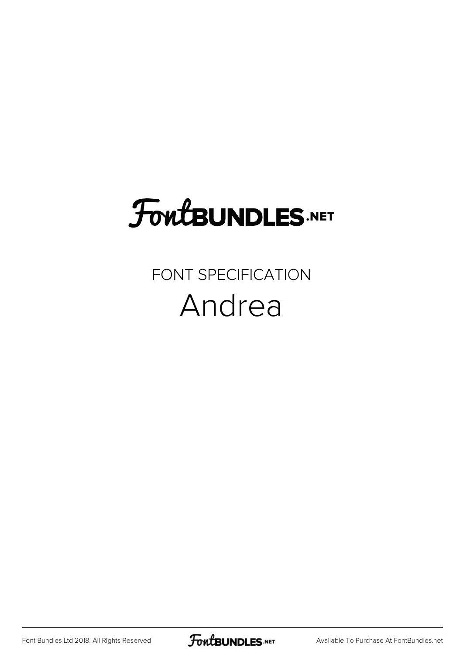# **FoutBUNDLES.NET**

#### FONT SPECIFICATION Andrea

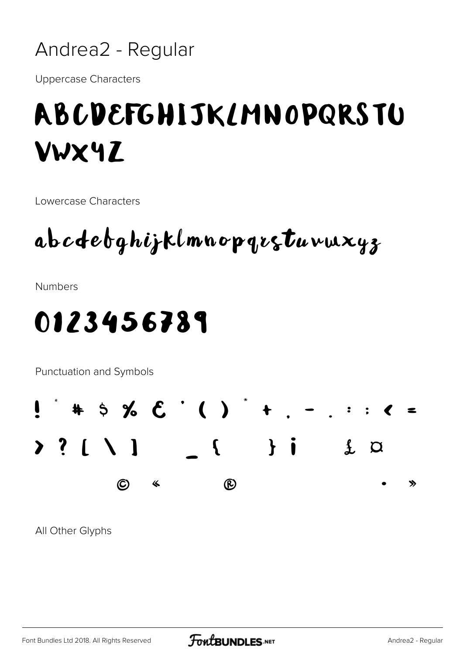

**Uppercase Characters** 

### ABCDEFGHIJKLMNOPQRSTU **VWX4Z**

Lowercase Characters

abcdebghijklmnopqrstuvwxyz

**Numbers** 

#### 0123456789

Punctuation and Symbols



All Other Glyphs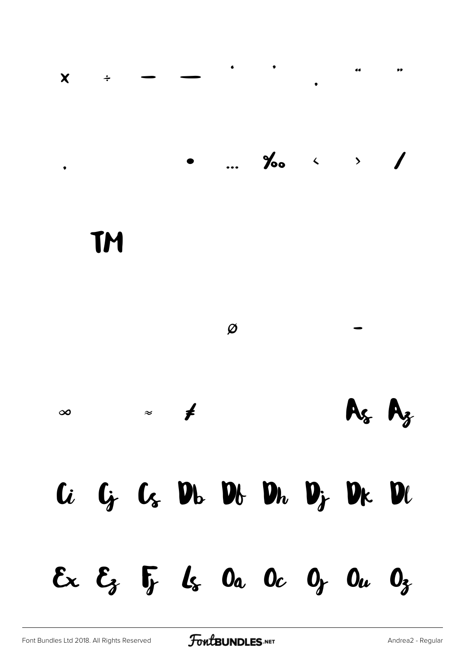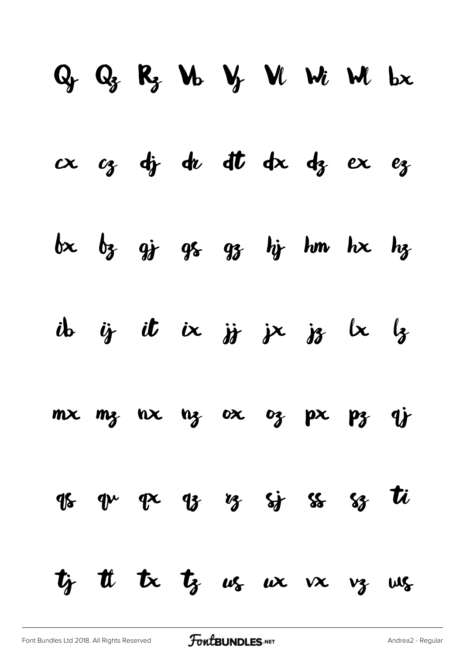# $Q_f$   $Q_g$   $R_g$   $M_0$   $V_f$   $W_1$   $W_2$   $bx$  $d_i$  du dt dx dz ex  $bx$   $b_3$   $q_3$   $q_5$   $q_3$   $h$   $h$   $m$   $hx$   $h_3$ ib ij it ix jj jx jz  $\kappa$   $\frac{1}{2}$  $mx$   $mz$   $nx$   $nz$   $ox$   $oz$   $px$   $pz$   $qj$  $95$   $94$   $92$   $93$   $95$   $95$   $95$   $92$   $11$  $t_f$  it is  $t_g$   $\omega_s$   $\omega_x$   $\omega_x$   $\omega_g$   $\omega_s$